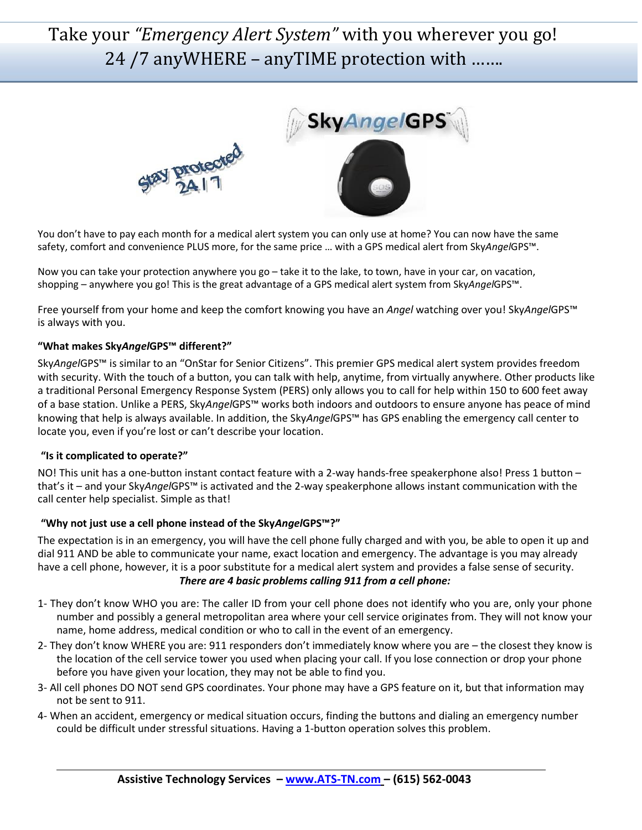# Take your *"Emergency Alert System"* with you wherever you go! 24 /7 anyWHERE – anyTIME protection with …….



You don't have to pay each month for a medical alert system you can only use at home? You can now have the same safety, comfort and convenience PLUS more, for the same price … with a GPS medical alert from Sky*Angel*GPS™.

Now you can take your protection anywhere you go – take it to the lake, to town, have in your car, on vacation, shopping – anywhere you go! This is the great advantage of a GPS medical alert system from Sky*Angel*GPS™.

Free yourself from your home and keep the comfort knowing you have an *Angel* watching over you! Sky*Angel*GPS™ is always with you.

#### **"What makes Sky***Angel***GPS™ different?"**

Sky*Angel*GPS™ is similar to an "OnStar for Senior Citizens". This premier GPS medical alert system provides freedom with security. With the touch of a button, you can talk with help, anytime, from virtually anywhere. Other products like a traditional Personal Emergency Response System (PERS) only allows you to call for help within 150 to 600 feet away of a base station. Unlike a PERS, Sky*Angel*GPS™ works both indoors and outdoors to ensure anyone has peace of mind knowing that help is always available. In addition, the Sky*Angel*GPS™ has GPS enabling the emergency call center to locate you, even if you're lost or can't describe your location.

#### **"Is it complicated to operate?"**

NO! This unit has a one-button instant contact feature with a 2-way hands-free speakerphone also! Press 1 button – that's it – and your Sky*Angel*GPS™ is activated and the 2-way speakerphone allows instant communication with the call center help specialist. Simple as that!

#### **"Why not just use a cell phone instead of the Sky***Angel***GPS™?"**

The expectation is in an emergency, you will have the cell phone fully charged and with you, be able to open it up and dial 911 AND be able to communicate your name, exact location and emergency. The advantage is you may already have a cell phone, however, it is a poor substitute for a medical alert system and provides a false sense of security. *There are 4 basic problems calling 911 from a cell phone:*

- 1- They don't know WHO you are: The caller ID from your cell phone does not identify who you are, only your phone number and possibly a general metropolitan area where your cell service originates from. They will not know your name, home address, medical condition or who to call in the event of an emergency.
- 2- They don't know WHERE you are: 911 responders don't immediately know where you are the closest they know is the location of the cell service tower you used when placing your call. If you lose connection or drop your phone before you have given your location, they may not be able to find you.
- 3- All cell phones DO NOT send GPS coordinates. Your phone may have a GPS feature on it, but that information may not be sent to 911.
- 4- When an accident, emergency or medical situation occurs, finding the buttons and dialing an emergency number could be difficult under stressful situations. Having a 1-button operation solves this problem.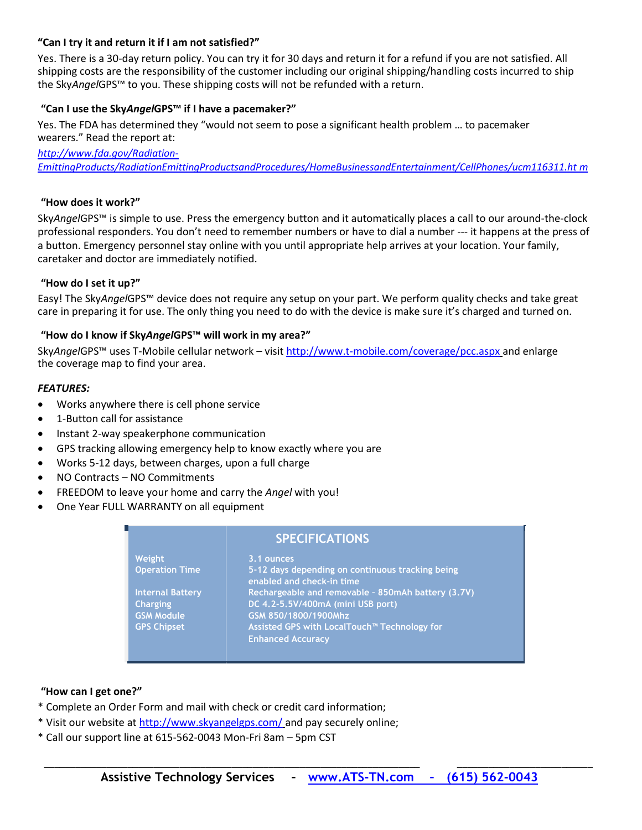#### **"Can I try it and return it if I am not satisfied?"**

Yes. There is a 30-day return policy. You can try it for 30 days and return it for a refund if you are not satisfied. All shipping costs are the responsibility of the customer including our original shipping/handling costs incurred to ship the Sky*Angel*GPS™ to you. These shipping costs will not be refunded with a return.

#### **"Can I use the Sky***Angel***GPS™ if I have a pacemaker?"**

Yes. The FDA has determined they "would not seem to pose a significant health problem … to pacemaker wearers." Read the report at:

*[http://www.fda.gov/Radiation-](http://www.fda.gov/Radiation-EmittingProducts/RadiationEmittingProductsandProcedures/HomeBusinessandEntertainment/CellPhones/ucm116311.htm)[EmittingProducts/RadiationEmittingProductsandProcedures/HomeBusinessandEntertainment/CellPhones/ucm116311.ht](http://www.fda.gov/Radiation-EmittingProducts/RadiationEmittingProductsandProcedures/HomeBusinessandEntertainment/CellPhones/ucm116311.htm) [m](http://www.fda.gov/Radiation-EmittingProducts/RadiationEmittingProductsandProcedures/HomeBusinessandEntertainment/CellPhones/ucm116311.htm)*

#### **"How does it work?"**

Sky*Angel*GPS™ is simple to use. Press the emergency button and it automatically places a call to our around-the-clock professional responders. You don't need to remember numbers or have to dial a number --- it happens at the press of a button. Emergency personnel stay online with you until appropriate help arrives at your location. Your family, caretaker and doctor are immediately notified.

#### **"How do I set it up?"**

Easy! The Sky*Angel*GPS™ device does not require any setup on your part. We perform quality checks and take great care in preparing it for use. The only thing you need to do with the device is make sure it's charged and turned on.

#### **"How do I know if Sky***Angel***GPS™ will work in my area?"**

Sky*Angel*GPS™ uses T-Mobile cellular network – visit<http://www.t-mobile.com/coverage/pcc.aspx> and enlarge the coverage map to find your area.

#### *FEATURES:*

- Works anywhere there is cell phone service
- 1-Button call for assistance
- Instant 2-way speakerphone communication
- GPS tracking allowing emergency help to know exactly where you are
- Works 5-12 days, between charges, upon a full charge
- NO Contracts NO Commitments
- FREEDOM to leave your home and carry the *Angel* with you!
- One Year FULL WARRANTY on all equipment

### **SPECIFICATIONS**

| Weight                  | 3.1 ounces                                                                    |
|-------------------------|-------------------------------------------------------------------------------|
| <b>Operation Time</b>   | 5-12 days depending on continuous tracking being<br>enabled and check-in time |
| <b>Internal Battery</b> | Rechargeable and removable - 850mAh battery (3.7V)                            |
| <b>Charging</b>         | DC 4.2-5.5V/400mA (mini USB port)                                             |
| <b>GSM Module</b>       | GSM 850/1800/1900Mhz                                                          |
| <b>GPS Chipset</b>      | Assisted GPS with LocalTouch <sup>™</sup> Technology for                      |
|                         | <b>Enhanced Accuracy</b>                                                      |

#### **"How can I get one?"**

- \* Complete an Order Form and mail with check or credit card information;
- \* Visit our website a[t http://www.skyangelgps.com/](http://www.skyangelgps.com/) and pay securely online;
- \* Call our support line at 615-562-0043 Mon-Fri 8am 5pm CST